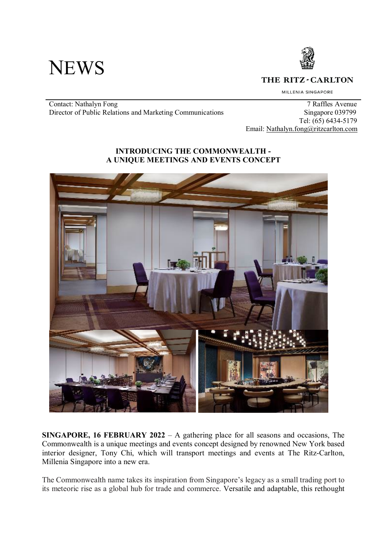



THE RITZ-CARLTON

MILLENIA SINGAPORE

Contact: Nathalyn Fong 7 Raffles Avenue<br>Director of Public Relations and Marketing Communications 5 Singapore 039799 Director of Public Relations and Marketing Communications

 Tel: (65) 6434-5179 Email: Nathalyn.fong@ritzcarlton.com

### **INTRODUCING THE COMMONWEALTH - A UNIQUE MEETINGS AND EVENTS CONCEPT**



**SINGAPORE, 16 FEBRUARY 2022** – A gathering place for all seasons and occasions, The Commonwealth is a unique meetings and events concept designed by renowned New York based interior designer, Tony Chi, which will transport meetings and events at The Ritz-Carlton, Millenia Singapore into a new era.

The Commonwealth name takes its inspiration from Singapore's legacy as a small trading port to its meteoric rise as a global hub for trade and commerce. Versatile and adaptable, this rethought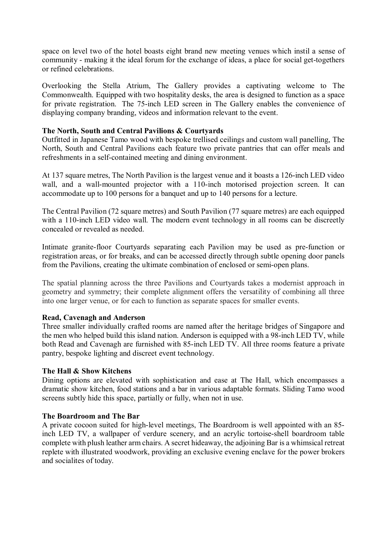space on level two of the hotel boasts eight brand new meeting venues which instil a sense of community - making it the ideal forum for the exchange of ideas, a place for social get-togethers or refined celebrations.

Overlooking the Stella Atrium, The Gallery provides a captivating welcome to The Commonwealth. Equipped with two hospitality desks, the area is designed to function as a space for private registration. The 75-inch LED screen in The Gallery enables the convenience of displaying company branding, videos and information relevant to the event.

#### **The North, South and Central Pavilions & Courtyards**

Outfitted in Japanese Tamo wood with bespoke trellised ceilings and custom wall panelling, The North, South and Central Pavilions each feature two private pantries that can offer meals and refreshments in a self-contained meeting and dining environment.

At 137 square metres, The North Pavilion is the largest venue and it boasts a 126-inch LED video wall, and a wall-mounted projector with a 110-inch motorised projection screen. It can accommodate up to 100 persons for a banquet and up to 140 persons for a lecture.

The Central Pavilion (72 square metres) and South Pavilion (77 square metres) are each equipped with a 110-inch LED video wall. The modern event technology in all rooms can be discreetly concealed or revealed as needed.

Intimate granite-floor Courtyards separating each Pavilion may be used as pre-function or registration areas, or for breaks, and can be accessed directly through subtle opening door panels from the Pavilions, creating the ultimate combination of enclosed or semi-open plans.

The spatial planning across the three Pavilions and Courtyards takes a modernist approach in geometry and symmetry; their complete alignment offers the versatility of combining all three into one larger venue, or for each to function as separate spaces for smaller events.

# **Read, Cavenagh and Anderson**

Three smaller individually crafted rooms are named after the heritage bridges of Singapore and the men who helped build this island nation. Anderson is equipped with a 98-inch LED TV, while both Read and Cavenagh are furnished with 85-inch LED TV. All three rooms feature a private pantry, bespoke lighting and discreet event technology.

# **The Hall & Show Kitchens**

Dining options are elevated with sophistication and ease at The Hall, which encompasses a dramatic show kitchen, food stations and a bar in various adaptable formats. Sliding Tamo wood screens subtly hide this space, partially or fully, when not in use.

# **The Boardroom and The Bar**

A private cocoon suited for high-level meetings, The Boardroom is well appointed with an 85 inch LED TV, a wallpaper of verdure scenery, and an acrylic tortoise-shell boardroom table complete with plush leather arm chairs. A secret hideaway, the adjoining Bar is a whimsical retreat replete with illustrated woodwork, providing an exclusive evening enclave for the power brokers and socialites of today.